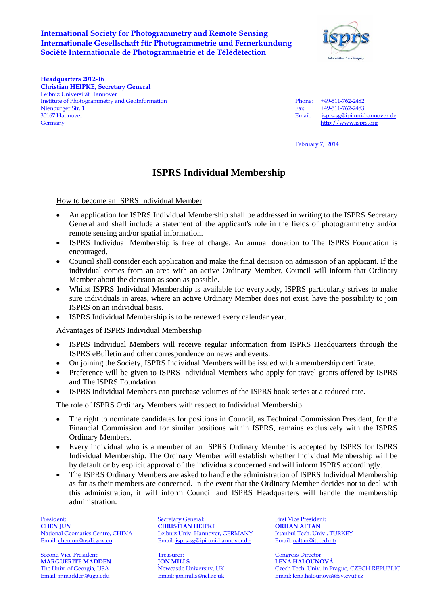## **International Society for Photogrammetry and Remote Sensing Internationale Gesellschaft für Photogrammetrie und Fernerkundung Société Internationale de Photogrammétrie et de Télédétection**



**Headquarters 2012-16 Christian HEIPKE, Secretary General** Leibniz Universität Hannover Institute of Photogrammetry and GeoInformation Phone: +49-511-762-2482 Nienburger Str. 1 Fax: +49-511-762-2483<br>
30167 Hannover Email: isprs-se@ipi.uni-l Germany [http://www.isprs.org](http://www.isprs.org/)

isprs-sg@ipi.uni-hannover.de

February 7, 2014

## **ISPRS Individual Membership**

How to become an ISPRS Individual Member

- An application for ISPRS Individual Membership shall be addressed in writing to the ISPRS Secretary General and shall include a statement of the applicant's role in the fields of photogrammetry and/or remote sensing and/or spatial information.
- ISPRS Individual Membership is free of charge. An annual donation to The ISPRS Foundation is encouraged.
- Council shall consider each application and make the final decision on admission of an applicant. If the individual comes from an area with an active Ordinary Member, Council will inform that Ordinary Member about the decision as soon as possible.
- Whilst ISPRS Individual Membership is available for everybody, ISPRS particularly strives to make sure individuals in areas, where an active Ordinary Member does not exist, have the possibility to join ISPRS on an individual basis.
- ISPRS Individual Membership is to be renewed every calendar year.

Advantages of ISPRS Individual Membership

- ISPRS Individual Members will receive regular information from ISPRS Headquarters through the ISPRS eBulletin and other correspondence on news and events.
- On joining the Society, ISPRS Individual Members will be issued with a membership certificate.
- Preference will be given to ISPRS Individual Members who apply for travel grants offered by ISPRS and The ISPRS Foundation.
- ISPRS Individual Members can purchase volumes of the ISPRS book series at a reduced rate.

The role of ISPRS Ordinary Members with respect to Individual Membership

- The right to nominate candidates for positions in Council, as Technical Commission President, for the Financial Commission and for similar positions within ISPRS, remains exclusively with the ISPRS Ordinary Members.
- Every individual who is a member of an ISPRS Ordinary Member is accepted by ISPRS for ISPRS Individual Membership. The Ordinary Member will establish whether Individual Membership will be by default or by explicit approval of the individuals concerned and will inform ISPRS accordingly.
- The ISPRS Ordinary Members are asked to handle the administration of ISPRS Individual Membership as far as their members are concerned. In the event that the Ordinary Member decides not to deal with this administration, it will inform Council and ISPRS Headquarters will handle the membership administration.

Second Vice President: Treasurer: Treasurer: Congress Director: Congress Director: Congress Director: Treasurer<br>
TON MILLS LENA HALOUNOVÁ **MARGUERITE MADDEN JON MILLS**<br>
The Univ. of Georgia, USA Newcastle University, UK

President: Secretary General: First Vice President: **CHEN JUN**<br> **CHRISTIAN HEIPKE ORHAN ALTAN**<br> **CHRISTIAN HEIPKE ORHAN ALTAN**<br> **CHRISTIAN LEAD COREAD CORTAIN CORTAIN CORTAIN LEAD ORHAN LEAD ORHAN LEAD ORHAN ALTAN** National Geomatics Centre, CHINA Leibniz Univ. Hannover, GERMANY Istanbul Tech. Univ., TU<br>
Email: chenjun@nsdi.gov.cn Email: isprs-sg@ipi.uni-hannover.de Email: oaltan@itu.edu.tr Email: chenjun@nsdi.gov.cn Email: isprs-sg@ipi.uni-hannover.de

Czech Tech. Univ. in Prague, CZECH REPUBLIC Email: mmadden@uga.edu Email: jon.mills@ncl.ac.uk Email: lena.halounova@fsv.cvut.cz